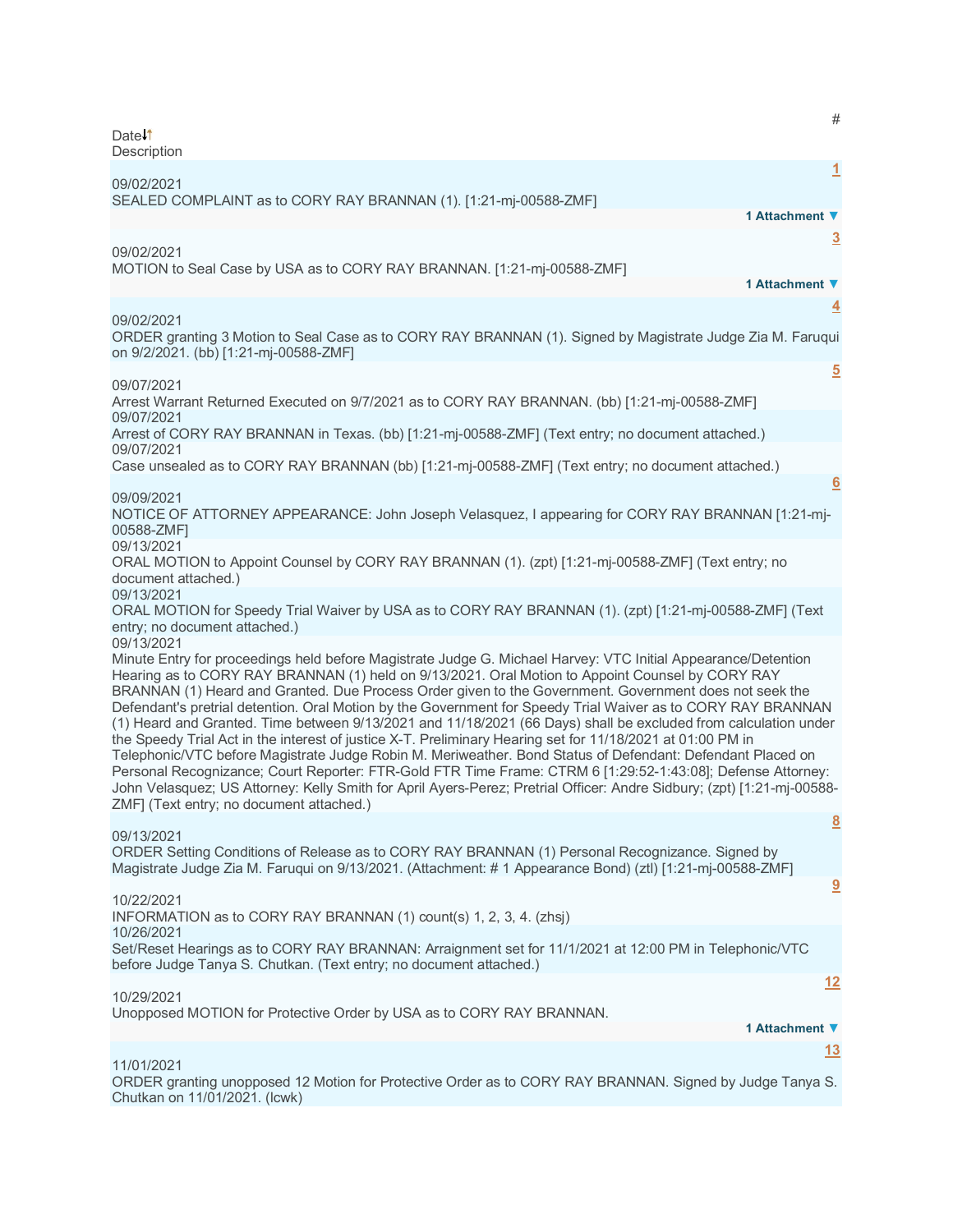| Date↓↑                                                                                                                                                                                                                                                                                                                                                                                                                                                                                                                                                                                                                                                                                                                                                                                                                                                                                                                                                                                                                                                                                        | $\#$            |
|-----------------------------------------------------------------------------------------------------------------------------------------------------------------------------------------------------------------------------------------------------------------------------------------------------------------------------------------------------------------------------------------------------------------------------------------------------------------------------------------------------------------------------------------------------------------------------------------------------------------------------------------------------------------------------------------------------------------------------------------------------------------------------------------------------------------------------------------------------------------------------------------------------------------------------------------------------------------------------------------------------------------------------------------------------------------------------------------------|-----------------|
| Description                                                                                                                                                                                                                                                                                                                                                                                                                                                                                                                                                                                                                                                                                                                                                                                                                                                                                                                                                                                                                                                                                   | $\overline{1}$  |
| 09/02/2021<br>SEALED COMPLAINT as to CORY RAY BRANNAN (1). [1:21-mj-00588-ZMF]                                                                                                                                                                                                                                                                                                                                                                                                                                                                                                                                                                                                                                                                                                                                                                                                                                                                                                                                                                                                                | 1 Attachment ▼  |
| 09/02/2021                                                                                                                                                                                                                                                                                                                                                                                                                                                                                                                                                                                                                                                                                                                                                                                                                                                                                                                                                                                                                                                                                    | $\overline{3}$  |
| MOTION to Seal Case by USA as to CORY RAY BRANNAN. [1:21-mj-00588-ZMF]                                                                                                                                                                                                                                                                                                                                                                                                                                                                                                                                                                                                                                                                                                                                                                                                                                                                                                                                                                                                                        | 1 Attachment ▼  |
| 09/02/2021<br>ORDER granting 3 Motion to Seal Case as to CORY RAY BRANNAN (1). Signed by Magistrate Judge Zia M. Faruqui                                                                                                                                                                                                                                                                                                                                                                                                                                                                                                                                                                                                                                                                                                                                                                                                                                                                                                                                                                      | <u>4</u>        |
| on 9/2/2021. (bb) [1:21-mj-00588-ZMF]                                                                                                                                                                                                                                                                                                                                                                                                                                                                                                                                                                                                                                                                                                                                                                                                                                                                                                                                                                                                                                                         | $\overline{5}$  |
| 09/07/2021<br>Arrest Warrant Returned Executed on 9/7/2021 as to CORY RAY BRANNAN. (bb) [1:21-mj-00588-ZMF]                                                                                                                                                                                                                                                                                                                                                                                                                                                                                                                                                                                                                                                                                                                                                                                                                                                                                                                                                                                   |                 |
| 09/07/2021<br>(Arrest of CORY RAY BRANNAN in Texas. (bb) [1:21-mj-00588-ZMF] (Text entry; no document attached.)                                                                                                                                                                                                                                                                                                                                                                                                                                                                                                                                                                                                                                                                                                                                                                                                                                                                                                                                                                              |                 |
| 09/07/2021<br>Case unsealed as to CORY RAY BRANNAN (bb) [1:21-mj-00588-ZMF] (Text entry; no document attached.)                                                                                                                                                                                                                                                                                                                                                                                                                                                                                                                                                                                                                                                                                                                                                                                                                                                                                                                                                                               |                 |
| 09/09/2021<br>NOTICE OF ATTORNEY APPEARANCE: John Joseph Velasquez, I appearing for CORY RAY BRANNAN [1:21-mj-<br>00588-ZMF1                                                                                                                                                                                                                                                                                                                                                                                                                                                                                                                                                                                                                                                                                                                                                                                                                                                                                                                                                                  | $6\overline{6}$ |
| 09/13/2021<br>ORAL MOTION to Appoint Counsel by CORY RAY BRANNAN (1). (zpt) [1:21-mj-00588-ZMF] (Text entry; no<br>document attached.)                                                                                                                                                                                                                                                                                                                                                                                                                                                                                                                                                                                                                                                                                                                                                                                                                                                                                                                                                        |                 |
| 09/13/2021<br>ORAL MOTION for Speedy Trial Waiver by USA as to CORY RAY BRANNAN (1). (zpt) [1:21-mj-00588-ZMF] (Text<br>entry; no document attached.)                                                                                                                                                                                                                                                                                                                                                                                                                                                                                                                                                                                                                                                                                                                                                                                                                                                                                                                                         |                 |
| 09/13/2021<br>Minute Entry for proceedings held before Magistrate Judge G. Michael Harvey: VTC Initial Appearance/Detention<br>Hearing as to CORY RAY BRANNAN (1) held on 9/13/2021. Oral Motion to Appoint Counsel by CORY RAY<br>BRANNAN (1) Heard and Granted. Due Process Order given to the Government. Government does not seek the<br>Defendant's pretrial detention. Oral Motion by the Government for Speedy Trial Waiver as to CORY RAY BRANNAN<br>(1) Heard and Granted. Time between 9/13/2021 and 11/18/2021 (66 Days) shall be excluded from calculation under<br>the Speedy Trial Act in the interest of justice X-T. Preliminary Hearing set for 11/18/2021 at 01:00 PM in<br>Telephonic/VTC before Magistrate Judge Robin M. Meriweather. Bond Status of Defendant: Defendant Placed on<br>Personal Recognizance; Court Reporter: FTR-Gold FTR Time Frame: CTRM 6 [1:29:52-1:43:08]; Defense Attorney:<br>John Velasquez; US Attorney: Kelly Smith for April Ayers-Perez; Pretrial Officer: Andre Sidbury; (zpt) [1:21-mj-00588-<br>ZMF] (Text entry; no document attached.) |                 |
| 09/13/2021                                                                                                                                                                                                                                                                                                                                                                                                                                                                                                                                                                                                                                                                                                                                                                                                                                                                                                                                                                                                                                                                                    | $\underline{8}$ |
| ORDER Setting Conditions of Release as to CORY RAY BRANNAN (1) Personal Recognizance. Signed by<br>Magistrate Judge Zia M. Faruqui on 9/13/2021. (Attachment: # 1 Appearance Bond) (ztl) [1:21-mj-00588-ZMF]                                                                                                                                                                                                                                                                                                                                                                                                                                                                                                                                                                                                                                                                                                                                                                                                                                                                                  |                 |
| 10/22/2021<br>INFORMATION as to CORY RAY BRANNAN (1) count(s) 1, 2, 3, 4. (zhsj)                                                                                                                                                                                                                                                                                                                                                                                                                                                                                                                                                                                                                                                                                                                                                                                                                                                                                                                                                                                                              | 9               |
| 10/26/2021<br>Set/Reset Hearings as to CORY RAY BRANNAN: Arraignment set for 11/1/2021 at 12:00 PM in Telephonic/VTC<br>before Judge Tanya S. Chutkan. (Text entry; no document attached.)                                                                                                                                                                                                                                                                                                                                                                                                                                                                                                                                                                                                                                                                                                                                                                                                                                                                                                    |                 |
| 10/29/2021                                                                                                                                                                                                                                                                                                                                                                                                                                                                                                                                                                                                                                                                                                                                                                                                                                                                                                                                                                                                                                                                                    | <u>12</u>       |
| Unopposed MOTION for Protective Order by USA as to CORY RAY BRANNAN.                                                                                                                                                                                                                                                                                                                                                                                                                                                                                                                                                                                                                                                                                                                                                                                                                                                                                                                                                                                                                          | 1 Attachment ▼  |
|                                                                                                                                                                                                                                                                                                                                                                                                                                                                                                                                                                                                                                                                                                                                                                                                                                                                                                                                                                                                                                                                                               | <u>13</u>       |
| 11/01/2021<br>ORDER granting unopposed 12 Motion for Protective Order as to CORY RAY BRANNAN, Signed by Judge Tanya S.                                                                                                                                                                                                                                                                                                                                                                                                                                                                                                                                                                                                                                                                                                                                                                                                                                                                                                                                                                        |                 |

ORDER granting unopposed 12 Motion for Protective Order as to CORY RAY BRANNAN. Signed by Judge Tanya S. Chutkan on 11/01/2021. (lcwk)